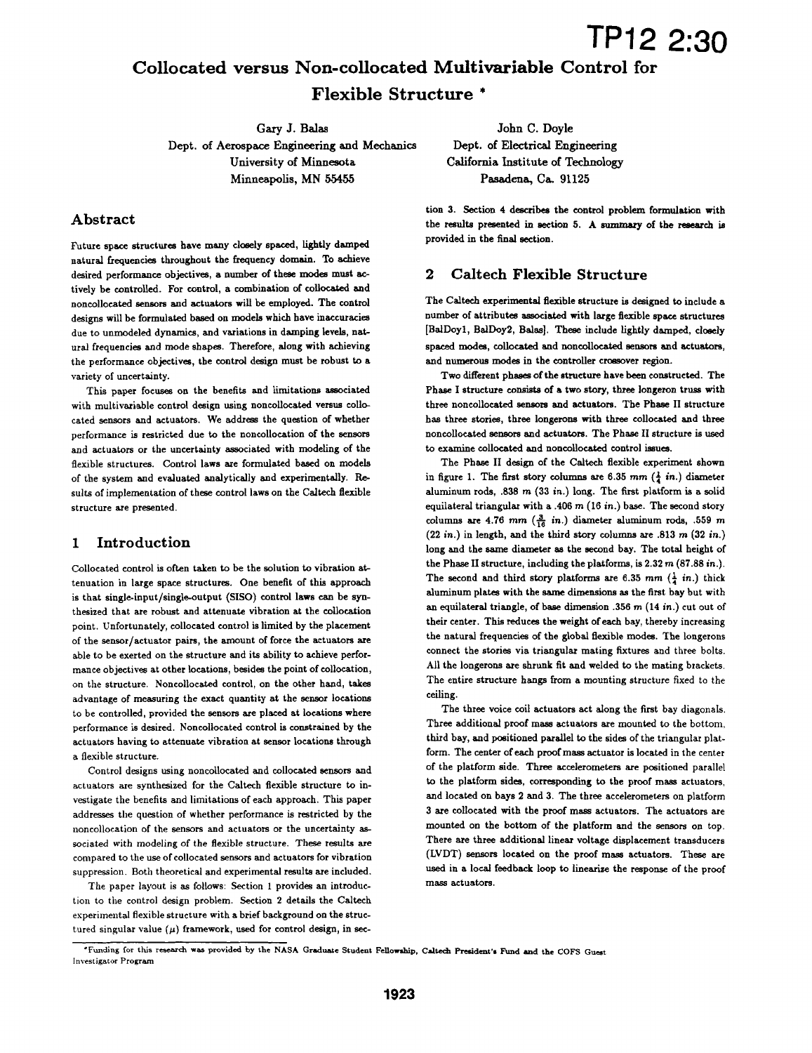# Collocated versus Non-collocated Multivariable Control for Flexible Structure \*

Gary J. Balas Dept. of Aerospace Engineering and Mechanics University of Minnesota Minneapolis, MN <sup>55455</sup>

## Abstract

Future space structures have many closely spaced, lightly damped natural frequencies throughout the frequency domain. To achieve desired performance objectives, a number of these modes must actively be controlled. For control, a combination of collocated and noncollocated sensors and actuators will be employed. The control designs will be formulated based on models which have inaccuracies due to unmodeled dynamics, and variations in damping levels, natural frequencies and mode shapes. Therefore, along with achieving the performance objectives, the control design must be robust to a variety of uncertainty.

This paper focuses on the benefits and linmitations associated with multivariable control design using noncollocated versus collocated sensors and actuators. We address the question of whether performance is restricted due to the noncollocation of the sensors and actuators or the uncertainty associated with modeling of the flexible structures. Control laws are formulated based on models of the system and evaluated analytically and experimentally. Results of implementation of these control laws on the Caltech flexible structure are presented.

## 1 Introduction

Collocated control is often taken to be the solution to vibration attenuation in large space structures. One benefit of this approach is that single-input/single-output (SISO) control laws can be synthesized that are robust and attenuate vibration at the collocation point. Unfortunately, collocated control is limited by the placement of the sensor/actuator pairs, the amount of force the actuators are able to be exerted on the structure and its ability to achieve performance objectives at other locations, besides the point of collocation, on the structure. Noncollocated control, on the other hand, takes advantage of measuring the exact quantity at the sensor locations to be controlled, provided the sensors are placed at locations where performance is desired. Noncollocated control is constrained by the actuators having to attenuate vibration at sensor locations through a flexible structure.

Control designs using noncollocated and collocated sensors and actuators are synthesized for the Caltech flexible structure to investigate the benefits and limitations of each approach. This paper addresses the question of whether performance is restricted by the noncollocation of the sensors and actuators or the uncertainty associated with modeling of the flexible structure. These results are compared to the use of collocated sensors and actuators for vibration suppression. Both theoretical and experimental results are included.

The paper layout is as follows: Section <sup>1</sup> provides an introduction to the control design problem. Section 2 details the Caltech experimental flexible structure with a brief background on the structured singular value  $(\mu)$  framework, used for control design, in sec-

John C. Doyle Dept. of Electrical Engineering California Institute of Technology Pasadena, Ca. 91125

tion 3. Section 4 describes the control problem formulation with the results presented in section 5. A summary of the research is provided in the final section.

## 2 Caltech Flexible Structure

The Caltech experimental flexible structure is designed to include a number of attributes associated with large flexible space structures [BalDoyl, BalDoy2, Balas]. These include lightly damped, closely spaced modes, collocated and noncollocated sensors and actuators, and numerous modes in the controller crossover region.

Two different phases of the structure have been constructed. The Phase <sup>I</sup> structure consists of a two story, three longeron truss with three noncollocated sensors and actuators. The Phase II structure has three stories, three longerons with three collocated and three noncollocated sensors and actuators. The Phase <sup>11</sup> structure is used to examine collocated and noncollocated control issues.

The Phase II design of the Caltech flexible experiment shown in figure 1. The first story columns are 6.35 mm  $(\frac{1}{4}$  in.) diameter aluminum rods, .838 m (33 in.) long. The first platform is <sup>a</sup> solid equilateral triangular with a .406  $m$  (16 in.) base. The second story columns are 4.76 mm  $(\frac{3}{16}$  in.) diameter aluminum rods, .559 m  $(22 in.)$  in length, and the third story columns are .813 m  $(32 in.)$ long and the same diameter as the second bay. The total height of the Phase II structure, including the platforms, is 2.32 m (87.88 in.). The second and third story platforms are 6.35 mm  $(\frac{1}{4}$  in.) thick aluminum plates with the same dimensions as the first bay but with an equilateral triangle, of base dimension .356  $m$  (14 in.) cut out of their center. This reduces the weight of each bay, thereby increasing the natural frequencies of the global flexible modes. The longerons connect the stories via triangular mating fixtures and three bolts. All the longerons are shrunk fit and welded to the mating brackets. The entire structure hangs from a mounting structure fixed to the ceiling.

The three voice coil actuators act along the first bay diagonals. Three additional proof mass actuators are mounted to the bottom, third bay, and positioned parallel to the sides of the triangular platform. The center of each proof mass actuator is located in the center of the platform side. Three accelerometers are positioned parallel to the platform sides, corresponding to the proof mass actuators, and located on bays 2 and 3. The three accelerometers on platform 3 are collocated with the proof mass actuators. The actuators are mounted on the bottom of the platform and the sensors on top. There are three additional linear voltage displacement transducers (LVDT) sensors located on the proof mass actuators. These are used in a local feedback loop to linearize the response of the proof mass actuators.

<sup>&#</sup>x27;Funding for this research was provided by the NASA Graduate Student Fellowship, Caltech President's Fund and the COFS Guest Investigator Program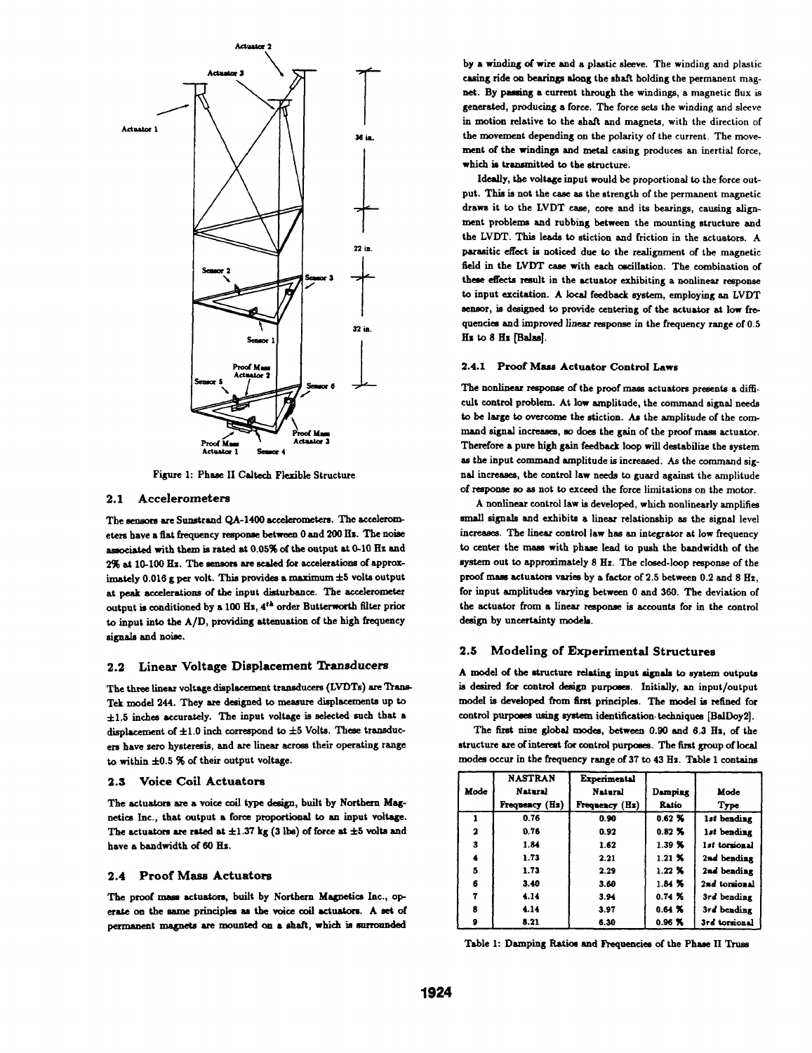

Figure 1: Phase II Caltech Flexible Structure

#### 2.1 Accelerometers

The sensors are Sunstrand QA-1400 accelerometers. The accelerometers have a flat fequency respone between 0 and 200 liz. The noise associated with them is rated at 0.05% of the output at 0-10 Hz and 2% at 10-100 Hz. The sensors are scaled for accelerations of approximately  $0.016$  g per volt. This provides a maximum  $\pm 5$  volts output at peak accelerations of the input disturbance. The accelerometer output is conditioned by a 100 Hz, <sup>4</sup>'h order Butterworth filter prior to input into the A/D, providing attenuation of the high fequency signals and noise.

#### 2.2 Linear Voltage Displacement Transducers

The three linear voltage displacement transducers (LVDTs) are Trans-Tek model 244. They are designed to measure displacements up to  $\pm1.5$  inches accurately. The input voltage is selected such that a displacement of  $\pm 1.0$  inch correspond to  $\pm 5$  Volts. These transducers have zero hysteresis, and are linear across their operating range to within  $\pm 0.5$  % of their output voltage.

#### 2.3 Voice Coil Actuators

The actuators are a voice coil type design, built by Northern Magnetics Inc., that output a force proportional to an input voltage. The actuators are rated at  $\pm 1.37$  kg (3 lbs) of force at  $\pm 5$  volts and have a bandwidth of 60 Hz.

#### 2.4 Proof Mass Actuators

The proof mass actuators, built by Northern Magnetics Inc., operate on the same principles as the voice coil actuators. A set of permanent magnets are mounted on a shaft, which is surrounded

by a winding of wire and a plastic sleeve. The winding and plastic casing ride on bearings along the shaft holding the permanent magnet. By pasing a current through the windings, a magnetic flux is generated, producing a force. The force sets the winding and sleeve in motion relative to the shaft and magnets, with the direction of the movement depending on the polarity of the current. The movement of the windings and metal casing produces an inertial force, which is transmitted to the structure.

Ideally, the voltage input would be proportional to the force output. This is not the case as the strength of the permanent magnetic draws it to the LVDT case, core and its bearings, causing alignment problens and rubbing between the mounting structure and the LVDT. This leads to stiction and friction in the actuators. A parasitic effect is noticed due to the realignment of the magnetic field in the LVDT case with each oscillation. The combination of these effects result in the actuator exhibiting a nonlinear response to input excitation. A local feedback system, employing an LVDT sensor, is designed to provide centering of the actuator at low frequencies and improved linear response in the frequency range of 0.5 Hz to 8 Hz [Balas].

#### 2.4.1 Proof Mass Actuator Control Laws

The nonlinear response of the proof mass actuators presents a difficult control problem. At low amplitude, the command signal needs to be large to overcome the stiction. As the anplitude of the conmand signal increases, so does the gain of the proof mass actuator. Therefore a pure high gain feedback loop wil destabilize the system as the input command amplitude is increased. As the command signal increases, the control law needs to guard against the amplitude of response so as not to exceed the force linitations on the motor.

A nonlinear control law is developed, which nonlinearly amplifies small signals and exhibits a linear relationship as the signal level increases. The linear control law has an integrator at low frequency to center the mass with phase lead to push the bandwidth of the system out to approximately 8 Hz. The closed-loop response of the proof mass actuators varies by a factor of 2.5 between 0.2 and 8  $Hz$ , for input amplitudes varying between 0 and 360. The deviation of the actuator from a linear response is accounts for in the control design by uncertainty models.

#### 2.5 Modeling of Experimental Structures

A model of the structure relating input signals to system outputs is desired for control design purposes. Initially, an input/output model is developed from first principles. The model is refined for control purposes using system identification-techniques [BalDoy2J.

The first nine global modes, between 0.90 and 6.3 Hz, of the structure are of interest for control purposes. The first group of local modes occur in the frequency range of 37 to 43 Ba. Table <sup>1</sup> contains

|      | <b>NASTRAN</b> | <b>Experimental</b> |               |               |
|------|----------------|---------------------|---------------|---------------|
| Mode | Natural        | <b>Natural</b>      | Damping       | Mode          |
|      | Frequency (Hz) | Frequency (Hz)      | Ratio         | Type          |
| 1    | 0.76           | 0.90                | $0.62$ %      | 1st bending   |
| 2    | 0.76           | 0.92                | $0.82\%$      | 1st bending   |
| 3    | 1.84           | 1.62                | 1.39%         | 1st torsional |
| 4    | 1.73           | 2.21                | $1.21$ %      | 2nd bending   |
| 5    | 1.73           | 2.29                | $1.22 \times$ | 2nd bending   |
| 6    | 3.40           | 3.60                | 1.84%         | 2nd torsional |
| 7    | 4.14           | 3.94                | 0.74%         | 3rd bending   |
| 8    | 4.14           | 3.97                | 0.64%         | 3rd bending   |
| 9    | 8.21           | 6.30                | 0.96%         | 3rd torsional |

Table 1: Damping Ratios and Frequencies of the Phase II Truss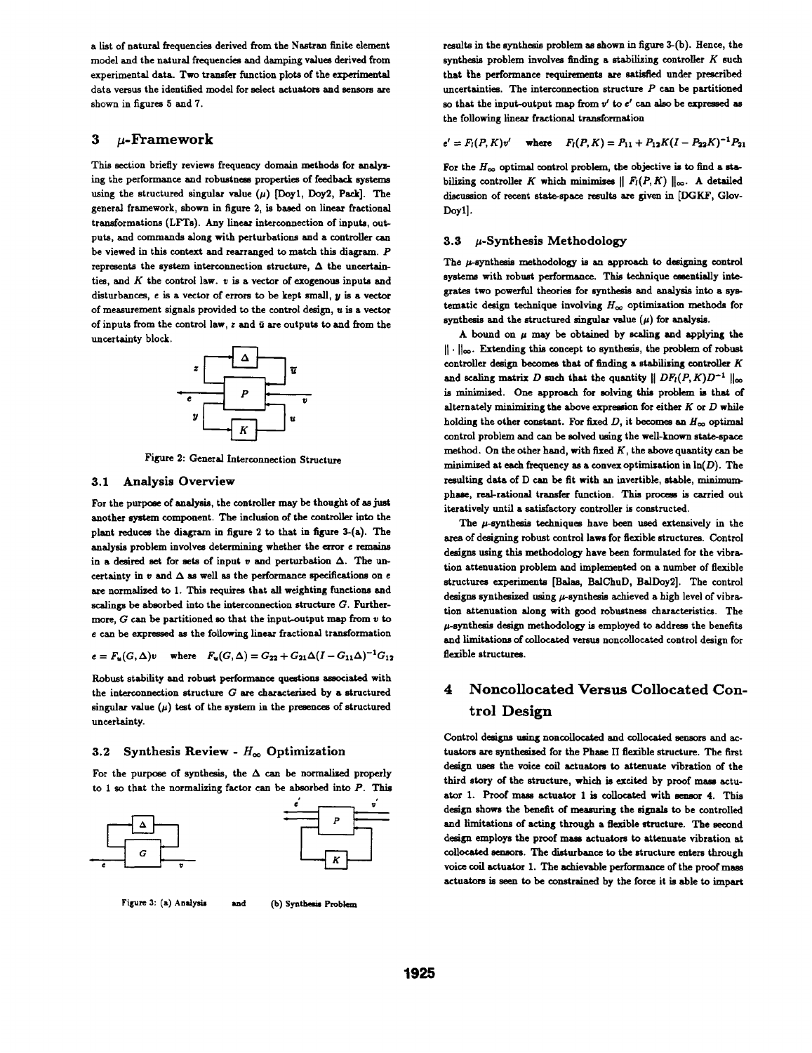a list of natural frequencies derived from the Nastran finite element model and the natural frequencies and damping values derived from experimental data. Two transfer function plots of the experimental data versus the identified model for select actuators and sensors are shown in figures 5 and 7.

## 3  $\mu$ -Framework

This section briefly reviews frequency domain methods for analysing the performance and robustness properties of feedback systems using the structured singular value  $(\mu)$  [Doy1, Doy2, Pack]. The general framework, shown in figure 2, is based on linear fractional transformations (LFTs). Any linear interconnection of inputs, outputs, and commands along with perturbations and a controller can be viewed in this context and rearranged to match this diagram. P represents the system interconnection structure,  $\Delta$  the uncertainties, and  $K$  the control law.  $v$  is a vector of exogenous inputs and disturbances,  $e$  is a vector of errors to be kept small,  $y$  is a vector of measurement signals provided to the control design, u is a vector of inputs from the control law,  $z$  and  $\bar{u}$  are outputs to and from the uncertainty block.



Figure 2: General Interconnection Structure

#### 3.1 Analysis Overview

For the purpoe of analysis, the controller may be thought of as just another system component. The inclusion of the controller into the plant reduces the diagram in figure 2 to that in figure 3-(a). The analysis problem involves determining whether the error e remains in a desired set for sets of input  $v$  and perturbation  $\Delta$ . The uncertainty in  $v$  and  $\Delta$  as well as the performance specifications on  $e$ are normalized to 1. This requires that all weighting functions and scalings be absorbed into the interconnection structure  $G$ . Furthermore,  $G$  can be partitioned so that the input-output map from  $v$  to <sup>e</sup> can be expressed as the following linear fractional transformation

$$
e = F_u(G, \Delta)v \quad \text{where} \quad F_u(G, \Delta) = G_{22} + G_{21}\Delta(I - G_{11}\Delta)^{-1}G_{12}
$$

Robust stability and robust performance questions associated with the interconnection structure  $G$  are characterized by a structured singular value  $(\mu)$  test of the system in the presences of structured uncertainty.

## 3.2 Synthesis Review -  $H_{\infty}$  Optimization

For the purpose of synthesis, the  $\Delta$  can be normalized properly to 1 so that the normalizing factor can be absorbed into  $P$ . This



```
Figure 3: (a) Analysis and (b) Synthesis Problem
```
results in the synthesis problem as shown in figure 3-(b). Hence, the synthesis problem involves finding a stabilizing controller  $K$  such that the performance requirements are satisfied under prescribed uncertainties. The interconnection structure  $P$  can be partitioned so that the input-output map from  $v'$  to  $e'$  can also be expressed as the following linear fractional transformation

$$
e' = F_1(P, K)v'
$$
 where  $F_1(P, K) = P_{11} + P_{12}K(I - P_{22}K)^{-1}P_{21}$ 

For the  $H_{\infty}$  optimal control problem, the objective is to find a stabilizing controller K which minimizes  $|| F_{l}(P, K) ||_{\infty}$ . A detailed discussion of recent state-space results are given in [DGKF, Glov-Doyl].

#### 3.3  $\mu$ -Synthesis Methodology

The  $\mu$ -synthesis methodology is an approach to designing control systems with robust performance. This technique esentially integrates two powerful theories for synthesis and analysis into a systematic design technique involving  $H_{\infty}$  optimization methods for synthesis and the structured singular value  $(\mu)$  for analysis.

A bound on  $\mu$  may be obtained by scaling and applying the  $|| \cdot ||_{\infty}$ . Extending this concept to synthesis, the problem of robust controller design becomes that of finding a stabilizing controller  $K$ and scaling matrix D such that the quantity  $||DF_1(P, K)D^{-1}||_{\infty}$ is minimized. One approach for solvig this problem is that of alternately minimizing the above expression for either  $K$  or  $D$  while holding the other constant. For fixed D, it becomes an  $H_{\infty}$  optimal control problem and can be solved using the well-known state-space method. On the other hand, with fixed  $K$ , the above quantity can be minimized at each frequency as a convex optimization in  $\ln(D)$ . The resulting data of D can be fit with an invertible, stable, minimumphase, real-rational transfer function. This process is carried out iteratively until a satisfactory controller is constructed.

The  $\mu$ -synthesis techniques have been used extensively in the area of designing robust control laws for flexible structures. Control designs using this methodology have been formulated for the vibration attenuation problem and implemented on a number of flexible structures experiments [Balas, BalChuD, BalDoy2]. The control designs synthesized using  $\mu$ -synthesis achieved a high level of vibration attenuation along with good robustness characteristics. The  $\mu$ -synthesis design methodology is employed to address the benefits and limitations of collocated versus noncollocated control design for flexible structures.

## 4 Noncollocated Versus Collocated Control Design

Control designs using noncollocated and collocated sensors and actuators are synthesized for the Phase II flexible structure. The first design uses the voice coil actuators to attenuate vibration of the third story of the structure, which is excited by proof mass actuator 1. Proof mass actuator 1 is collocated with sensor 4. This design shows the benefit of measuring the signals to be controlled and limitations of acting through a flexible streture. The second design employs the proof mass actuators to attenuate vibration at collocated sensors. The disturbance to the structure enters through voice coil actuator 1. The achievable performance of the proof mass actuators is seen to be constrained by the force it is able to impart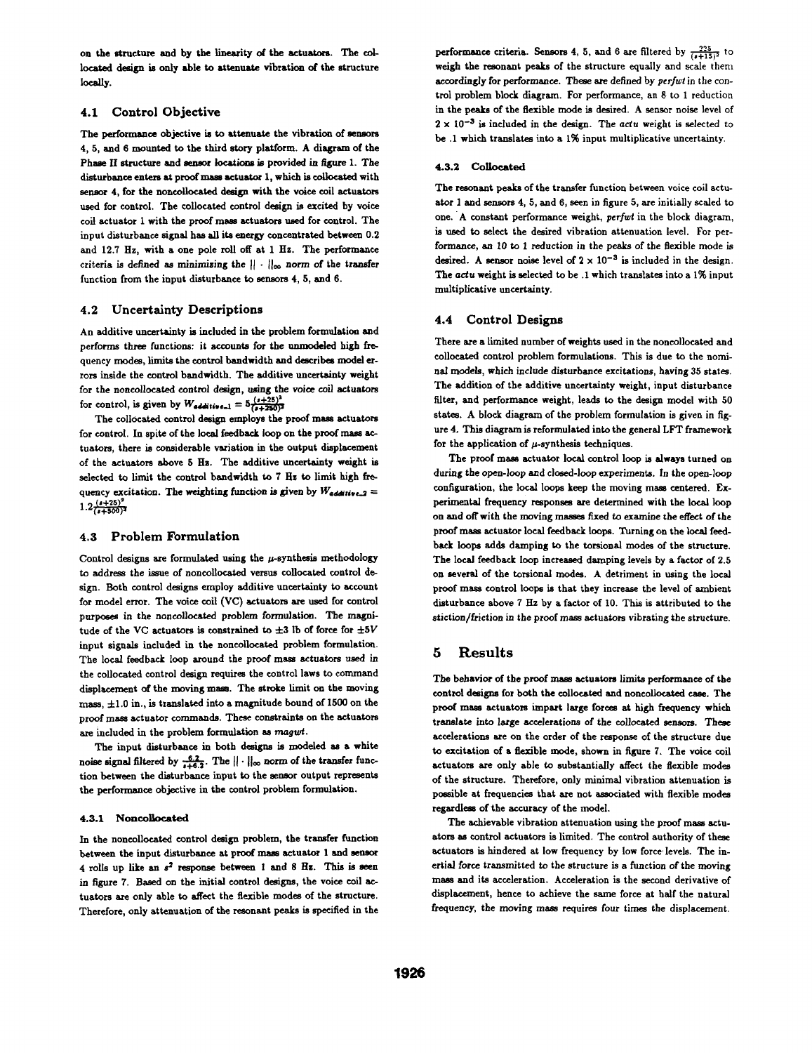on the structure and by the linearity of the actuators. The collocated design is only able to attenuate vibration of the structure localy.

## 4.1 Control Objective

The performance objective is to attenuate the vibration of sensors 4, 5, and <sup>6</sup> mounted to the third story platform. A diagram of the Phase II structure and sensor locations is provided in figure 1. The disturbance enters at proof mass actuator 1, which is collocated with sensor 4, for the noncollocated design with the voice coil actuators used for control. The collocated control design is excited by voice coil actuator 1 with the proof mass actuators used for control. The input disturbance signal has all its energy concentrated between 0.2 and 12.7 Hz, with a one pole roll off at <sup>1</sup> Hz. The performance criteria is defined as minimizing the  $|| \cdot ||_{\infty}$  norm of the transfer function from the input disturbance to sensors 4, 5, and 6.

#### 4.2 Uncertainty Descriptions

An additive uncertainty is included in the problem formulation and performs three functions: it accounts for the unmodeled high frequency modes, limits the control bandwidth and describes model errors inside the control bandwidth. The additive uncertainty weight for the noncollocated control design, using the voice coil actuators for control, is given by  $W_{additive-1} = 5\frac{(s+25)^2}{(s+250)^2}$ 

The collocated control design employs the proof mass actuators for control. In spite of the local feedback loop on the proof mass actuators, there is considerable variation in the output displacement of the actuators above 5 Ha. The additive uncertainty weight is selected to limit the control bandwidth to 7 Hz to limit high frequency excitation. The weighting function is given by  $W_{additive, 2} =$  $1.2 \frac{(1+25)^2}{(1+500)^2}$ 

#### 4.3 Problem Formulation

Control designs are formulated using the  $\mu$ -synthesis methodology to address the issue of noncollocated versus collocated control design. Both control designs employ additive uncertainty to account for model error. The voice coil (VC) actuators are used for control purposes in the noncollocated problem formulation. The magnitude of the VC actuators is constrained to  $\pm 3$  lb of force for  $\pm 5V$ input signals included in the noncollocated problem formulation. The local feedback loop around the proof mass actuators used in the collocated control design requires the control laws to command displacement of the moving mass. The stroke limit on the moving mass.  $\pm 1.0$  in., is translated into a magnitude bound of 1500 on the proof mass actuator commands. These constraints on the actuators are included in the problem formulation as magwt.

The input disturbance in both designs is modeled as a white noise signal filtered by  $\frac{6.2}{1+6.2}$ . The  $||\cdot||_{\infty}$  norm of the transfer function between the disturbance input to the sensor output represents the performance objective in the control problem formulation.

#### 4.3.1 Noncolocated

In the noncollocated control deign problem, the transfer function between the input disturbance at proof mass actuator 1 and sensor 4 rolls up like an  $s^2$  response between 1 and 8 Hz. This is seen in figure 7. Based on the initial control designs, the voice coil actuators are only able to affect the flexible modes of the structure. Therefore, only attenuation of the resonant peaks is specified in the

performance criteria. Sensors 4, 5, and 6 are filtered by  $\frac{225}{(s+15)^2}$  to weigh the resonant peaks of the structure equally and scale them accordingly for performance. These are defined by perfwt in the control problem block diagram. For performance, an 8 to <sup>1</sup> reduction in the peaks of the flexible mode is desired. A sensor noise level of  $2 \times 10^{-3}$  is included in the design. The actu weight is selected to be .1 which translates into a 1% input multiplicative uncertainty.

#### 4.3.2 Collocated

The resonant peaks of the transfer function between voice coil actuator <sup>1</sup> and sensors 4, 5, and 6, seen in figure 5, are initially scaled to one. A constant performance weight, perfwt in the block diagram, is used to select the desired vibration attenuation level. For performance, an 10 to <sup>1</sup> reduction in the peaks of the flexible mode is desired. A sensor noise level of  $2 \times 10^{-3}$  is included in the design. The actu weight is selected to be .1 which translates into a 1% input multiplicative uncertainty.

#### 4.4 Control Designs

There are a limited number of weights used in the noncollocated and collocated control problem formulations. This is due to the nominal models, which include disturbance excitations, having 35 states. The addition of the additive uncertainty weight, input disturbance filter, and performance weight, leads to the design model with 50 states. A block diagram of the problem formulation is given in figure 4. This diagram is reformulated into the general LFT framework for the application of  $\mu$ -synthesis techniques.

The proof mass actuator local control loop is always turned on during the open-loop and closed-loop experiments. In the open-loop configuration, the local loops keep the moving mass centered. Experimental frequency responses are determined with the local loop on and off with the moving mases fixed to examine the effect of the proof mass actuator local feedback loops. Turning on the local feedback loops adds damping to the torsional modes of the structure. The local feedback loop increased darnping levels by a factor of 2.5 on several of the torsional modes. A detriment in using the local proof mass control loops is that they increase the level of ambient disturbance above 7 Hz by a factor of 10. This is attributed to the stiction/friction in the proof mass actuators vibrating the structure.

## 5 Results

The behavior of the proof mass actuators limits performance of the control designs for both the collocated and noncolocated case. The proof mass actuators impart large forces at high frequency which translate into large accelerations of the collocated sensors. These accelerations are on the order of the response of the structure due to excitation of a flexible mode, shown in figure 7. The voice coil actuators are only able to substantially affect the flexible modes of the structure. Therefore, only minmal vibration attenuation is possible at frequencies that are not associated with flexible modes regardless of the accuracy of the model.

The achievable vibration attenuation using the proof mass actuators as control actuators is limited. The control authority of these actuators is hindered at low frequency by low force levels. The inertial force transmitted to the structure is a function of the moving mass and its acceleration. Acceleration is the second derivative of displacement, hence to achieve the same force at half the natural frequency, the moving mass requires four times the displacement.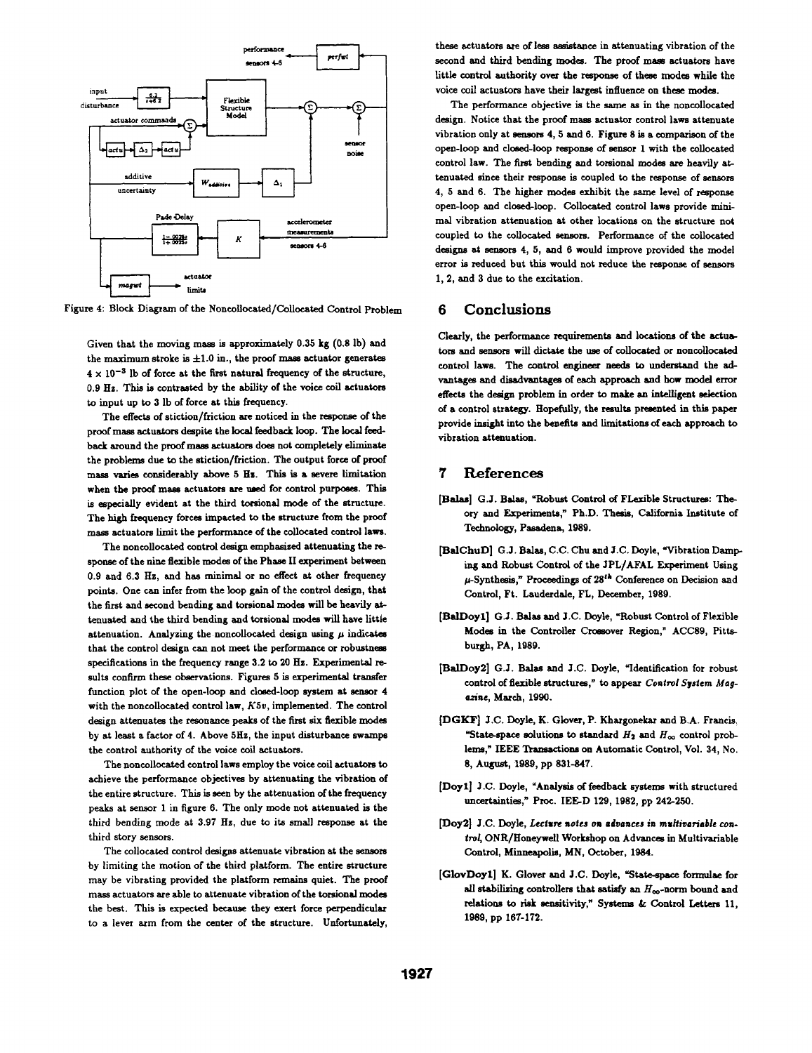

Figure 4: Block Diagram of the Noncollocated/Collocated Control Problem

Given that the moving mass is approximately 0.35 kg (0.8 lb) and the maximum stroke is  $\pm 1.0$  in., the proof mass actuator generates  $4 \times 10^{-3}$  lb of force at the first natural frequency of the structure, 0.9 Hz. This is contrasted by the ability of the voice coil actuators to input up to 3 lb of force at this frequency.

The effects of stiction/friction are noticed in the response of the proof mass actuators despite the local feedback loop. The local feedback around the proof mass actuators does not completely eliminate the problems due to the stiction/friction. The output force of proof mass varies considerably above 5 Es. This is a severe limitation when the proof mass actuators are used for control purpoes. This is especially evident at the third torsional mode of the structure. The high frequency forces impacted to the structure from the proof mass actuators limit the performance of the collocated control laws.

The noncollocated control design emphasized attenuating the response of the nine flexible modes of the Phase II experiment between 0.9 and 6.3 Hz, and has minimal or no effect at other frequency points. One can infer from the loop gain of the control design, that the first and second bending and torsional modes will be heavily attenuated and the third bending and torsional modes will have little attenuation. Analyzing the noncollocated design using  $\mu$  indicates that the control design can not meet the performance or robustness specifications in the frequency range 3.2 to 20 Hz. Experimental results confirm these observations. Figures 5 is experimental transfer function plot of the open-loop and closed-loop system at sensor 4 with the noncollocated control law, K5v, implemented. The control design attenuates the resonance peaks of the fist six flexible modes by at least a factor of 4. Above 5Hz, the input disturbance swamps the control authority of the voice coil actuators.

The noncollocated control laws employ the voice coil actuators to achieve the performance objectives by attenuating the vibration of the entire structure. This is seen by the attenuation of the frequency peaks at sensor <sup>1</sup> in figure 6. The only mode not attenuated is the third bending mode at 3.97 Hz, due to its small response at the third story sensors.

The collocated control designs attenuate vibration at the sensors by limiting the motion of the third platform. The entire structure may be vibrating provided the platform remains quiet. The proof mass actuators are able to attenuate vibration of the torsional modes the best. This is expected because they exert force perpendicular to a lever arm from the center of the structure. Unfortunately,

these actuators are of less assistance in attenuating vibration of the second and third bending modes. The proof mass actuators have little control authority over the response of these modes while the voice coil actuators have their largest influence on these modes.

The performance objective is the same as in the noncollocated design. Notice that the proof mass actuator control laws attenuate vibration only at sensors 4, 5 and 6. Figure 8 is a comparison of the open-loop and closed-loop response of sensor <sup>1</sup> with the collocated control law. The first bending and torsional modes are heavily attenuated since their response is coupled to the response of sensors 4, 5 and 6. The higher modes exhibit the same level of response open-loop and closed-loop. Collocated control laws provide minimal vibration attenuation at other locations on the structure not coupled to the collocated sensors. Performance of the collocated designs at sensors 4, 5, and 6 would improve provided the model error is reduced but this would not reduce the response of sensors 1, 2, and 3 due to the excitation.

## 6 Conclusions

Clearly, the performance requirements and locations of the actuators and sensors will dictate the use of collocated or noncollocated control laws. The control engineer needs to understand the advantages and diadvantages of each approach and how model error effects the design problem in order to make an intelligent selection of a control strategy. Hopefully, the results presented in this paper provide insight into the benefits and limitations of each approach to vibration attenuation.

## 7 References

- [Balas] G.J. Balas, 'Robust Control of FLexible Structures: Theory and Experiments," Ph.D. Tesis, California Institute of Technology, Pasadena, 1989.
- [BalChuD] G.J. Balas, C.C. Chu and J.C. Doyle, "Vibration Damping and Robust Control of the JPL/AFAL Experiment Using  $\mu$ -Synthesis," Proceedings of 28<sup>th</sup> Conference on Decision and Control, Ft. Lauderdale, FL, December, 1989.
- [BalDoyl] G.J. Balas and J.C. Doyle, "Robust Control of Flexible Modes in the Controller Crossover Region," ACC89, Pittsburgh, PA, 1989.
- [BalDoy2J G.J. Balas and J.C. Doyle, "Identification for robust control of flexible structures," to appear Control System Magazine, March, 1990.
- [DGKF] J.C. Doyle, K. Glover, P. Khargonekar and B.A. Francis. "State-space solutions to standard  $H_2$  and  $H_{\infty}$  control problems," IEEE Transactions on Automatic Control, Vol. 34, No. 8, August, 1989, pp 831-847.
- [Doyl] J.C. Doyle, "Analysis of feedback systems with structured uncertainties," Proc. IEE-D 129, 1982, pp 242-250.
- [Doy2] J.C. Doyle, Lecture notes on advances in multivariable control, ONR/Honeywell Workshop on Advances in Multivariable Control, Minneapolis, MN, October, 1984.
- [GlovDoy1] K. Glover and J.C. Doyle, "State-space formulae for all stabilizing controllers that satisfy an  $H_{\infty}$ -norm bound and relations to risk sensitivity," Systems & Control Letters 11, 1989, pp 167-172.